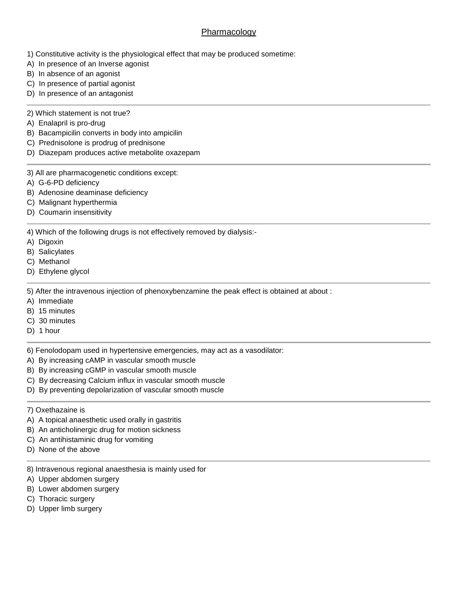## **Pharmacology**

- 1) Constitutive activity is the physiological effect that may be produced sometime:
- A) In presence of an Inverse agonist
- B) In absence of an agonist
- C) In presence of partial agonist
- D) In presence of an antagonist

## 2) Which statement is not true?

- A) Enalapril is pro-drug
- B) Bacampicilin converts in body into ampicilin
- C) Prednisolone is prodrug of prednisone
- D) Diazepam produces active metabolite oxazepam
- 3) All are pharmacogenetic conditions except:
- A) G-6-PD deficiency
- B) Adenosine deaminase deficiency
- C) Malignant hyperthermia
- D) Coumarin insensitivity

4) Which of the following drugs is not effectively removed by dialysis:-

- A) Digoxin
- B) Salicylates
- C) Methanol
- D) Ethylene glycol

5) After the intravenous injection of phenoxybenzamine the peak effect is obtained at about :

- A) Immediate
- B) 15 minutes
- C) 30 minutes
- D) 1 hour
- 6) Fenolodopam used in hypertensive emergencies, may act as a vasodilator:
- A) By increasing cAMP in vascular smooth muscle
- B) By increasing cGMP in vascular smooth muscle
- C) By decreasing Calcium influx in vascular smooth muscle
- D) By preventing depolarization of vascular smooth muscle
- 7) Oxethazaine is
- A) A topical anaesthetic used orally in gastritis
- B) An anticholinergic drug for motion sickness
- C) An antihistaminic drug for vomiting
- D) None of the above
- 8) Intravenous regional anaesthesia is mainly used for
- A) Upper abdomen surgery
- B) Lower abdomen surgery
- C) Thoracic surgery
- D) Upper limb surgery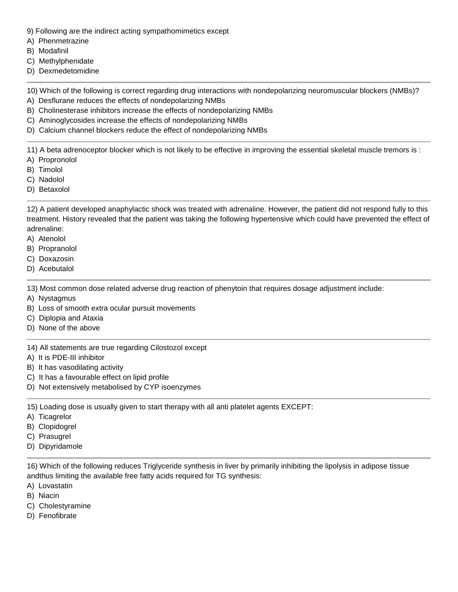- 9) Following are the indirect acting sympathomimetics except
- A) Phenmetrazine
- B) Modafinil
- C) Methylphenidate
- D) Dexmedetomidine

10) Which of the following is correct regarding drug interactions with nondepolarizing neuromuscular blockers (NMBs)?

- A) Desflurane reduces the effects of nondepolarizing NMBs
- B) Cholinesterase inhibitors increase the effects of nondepolarizing NMBs
- C) Aminoglycosides increase the effects of nondepolarizing NMBs
- D) Calcium channel blockers reduce the effect of nondepolarizing NMBs

11) A beta adrenoceptor blocker which is not likely to be effective in improving the essential skeletal muscle tremors is :

- A) Propronolol
- B) Timolol
- C) Nadolol
- D) Betaxolol

12) A patient developed anaphylactic shock was treated with adrenaline. However, the patient did not respond fully to this treatment. History revealed that the patient was taking the following hypertensive which could have prevented the effect of adrenaline:

- A) Atenolol
- B) Propranolol
- C) Doxazosin
- D) Acebutalol

13) Most common dose related adverse drug reaction of phenytoin that requires dosage adjustment include:

- A) Nystagmus
- B) Loss of smooth extra ocular pursuit movements
- C) Diplopia and Ataxia
- D) None of the above
- 14) All statements are true regarding Cilostozol except
- A) It is PDE-III inhibitor
- B) It has vasodilating activity
- C) It has a favourable effect on lipid profile
- D) Not extensively metabolised by CYP isoenzymes

15) Loading dose is usually given to start therapy with all anti platelet agents EXCEPT:

- A) Ticagrelor
- B) Clopidogrel
- C) Prasugrel
- D) Dipyridamole

16) Which of the following reduces Triglyceride synthesis in liver by primarily inhibiting the lipolysis in adipose tissue andthus limiting the available free fatty acids required for TG synthesis:

- A) Lovastatin
- B) Niacin
- C) Cholestyramine
- D) Fenofibrate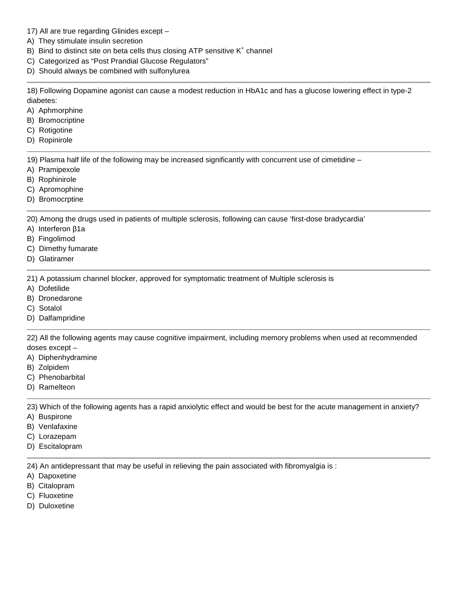- 17) All are true regarding Glinides except –
- A) They stimulate insulin secretion
- B) Bind to distinct site on beta cells thus closing ATP sensitive  $K^+$  channel
- C) Categorized as "Post Prandial Glucose Regulators"
- D) Should always be combined with sulfonylurea

18) Following Dopamine agonist can cause a modest reduction in HbA1c and has a glucose lowering effect in type-2 diabetes:

- A) Aphmorphine
- B) Bromocriptine
- C) Rotigotine
- D) Ropinirole

19) Plasma half life of the following may be increased significantly with concurrent use of cimetidine –

- A) Pramipexole
- B) Rophinirole
- C) Apromophine
- D) Bromocrptine

20) Among the drugs used in patients of multiple sclerosis, following can cause 'first-dose bradycardia'

- A) Interferon 1a
- B) Fingolimod
- C) Dimethy fumarate
- D) Glatiramer

21) A potassium channel blocker, approved for symptomatic treatment of Multiple sclerosis is

- A) Dofetilide
- B) Dronedarone
- C) Sotalol
- D) Dalfampridine

22) All the following agents may cause cognitive impairment, including memory problems when used at recommended doses except –

- A) Diphenhydramine
- B) Zolpidem
- C) Phenobarbital
- D) Ramelteon

23) Which of the following agents has a rapid anxiolytic effect and would be best for the acute management in anxiety?

- A) Buspirone
- B) Venlafaxine
- C) Lorazepam
- D) Escitalopram

24) An antidepressant that may be useful in relieving the pain associated with fibromyalgia is :

- A) Dapoxetine
- B) Citalopram
- C) Fluoxetine
- D) Duloxetine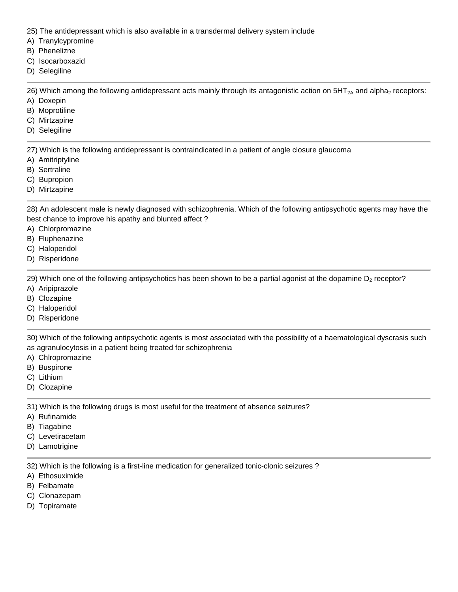- 25) The antidepressant which is also available in a transdermal delivery system include
- A) Tranylcypromine
- B) Phenelizne
- C) Isocarboxazid
- D) Selegiline

26) Which among the following antidepressant acts mainly through its antagonistic action on  $5HT<sub>2A</sub>$  and alpha<sub>2</sub> receptors:

- A) Doxepin
- B) Moprotiline
- C) Mirtzapine
- D) Selegiline

27) Which is the following antidepressant is contraindicated in a patient of angle closure glaucoma

- A) Amitriptyline
- B) Sertraline
- C) Bupropion
- D) Mirtzapine

28) An adolescent male is newly diagnosed with schizophrenia. Which of the following antipsychotic agents may have the best chance to improve his apathy and blunted affect ?

- A) Chlorpromazine
- B) Fluphenazine
- C) Haloperidol
- D) Risperidone

29) Which one of the following antipsychotics has been shown to be a partial agonist at the dopamine  $D_2$  receptor?

- A) Aripiprazole
- B) Clozapine
- C) Haloperidol
- D) Risperidone

30) Which of the following antipsychotic agents is most associated with the possibility of a haematological dyscrasis such as agranulocytosis in a patient being treated for schizophrenia

- A) Chlropromazine
- B) Buspirone
- C) Lithium
- D) Clozapine

31) Which is the following drugs is most useful for the treatment of absence seizures?

- A) Rufinamide
- B) Tiagabine
- C) Levetiracetam
- D) Lamotrigine

32) Which is the following is a first-line medication for generalized tonic-clonic seizures ?

- A) Ethosuximide
- B) Felbamate
- C) Clonazepam
- D) Topiramate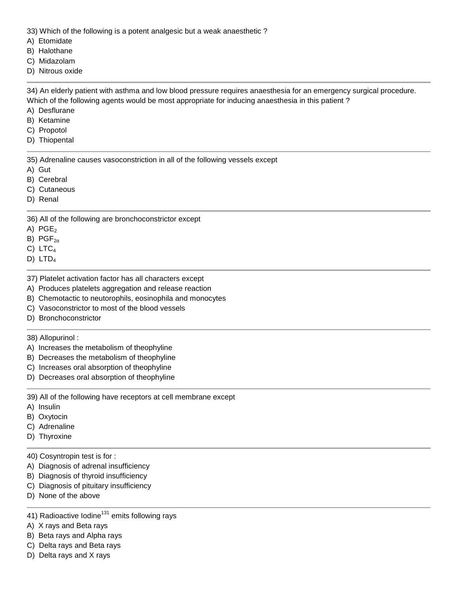33) Which of the following is a potent analgesic but a weak anaesthetic ?

- A) Etomidate
- B) Halothane
- C) Midazolam
- D) Nitrous oxide

34) An elderly patient with asthma and low blood pressure requires anaesthesia for an emergency surgical procedure. Which of the following agents would be most appropriate for inducing anaesthesia in this patient ?

- A) Desflurane
- B) Ketamine
- C) Propotol
- D) Thiopental

35) Adrenaline causes vasoconstriction in all of the following vessels except

- A) Gut
- B) Cerebral
- C) Cutaneous
- D) Renal

36) All of the following are bronchoconstrictor except

- A)  $PGE<sub>2</sub>$
- B)  $PGF<sub>2</sub>$
- C)  $LTC<sub>4</sub>$
- D)  $LTD<sub>4</sub>$
- 37) Platelet activation factor has all characters except
- A) Produces platelets aggregation and release reaction
- B) Chemotactic to neutorophils, eosinophila and monocytes
- C) Vasoconstrictor to most of the blood vessels
- D) Bronchoconstrictor

## 38) Allopurinol :

- A) Increases the metabolism of theophyline
- B) Decreases the metabolism of theophyline
- C) Increases oral absorption of theophyline
- D) Decreases oral absorption of theophyline

39) All of the following have receptors at cell membrane except

- A) Insulin
- B) Oxytocin
- C) Adrenaline
- D) Thyroxine

## 40) Cosyntropin test is for :

- A) Diagnosis of adrenal insufficiency
- B) Diagnosis of thyroid insufficiency
- C) Diagnosis of pituitary insufficiency
- D) None of the above
- 41) Radioactive Iodine<sup>131</sup> emits following rays
- A) X rays and Beta rays
- B) Beta rays and Alpha rays
- C) Delta rays and Beta rays
- D) Delta rays and X rays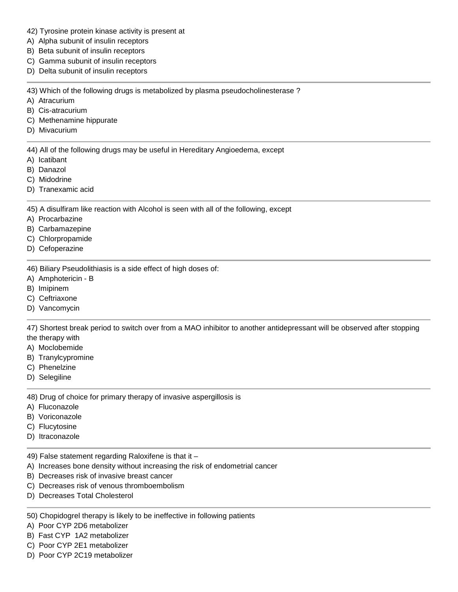- 42) Tyrosine protein kinase activity is present at
- A) Alpha subunit of insulin receptors
- B) Beta subunit of insulin receptors
- C) Gamma subunit of insulin receptors
- D) Delta subunit of insulin receptors

43) Which of the following drugs is metabolized by plasma pseudocholinesterase ?

- A) Atracurium
- B) Cis-atracurium
- C) Methenamine hippurate
- D) Mivacurium

44) All of the following drugs may be useful in Hereditary Angioedema, except

- A) Icatibant
- B) Danazol
- C) Midodrine
- D) Tranexamic acid

45) A disulfiram like reaction with Alcohol is seen with all of the following, except

- A) Procarbazine
- B) Carbamazepine
- C) Chlorpropamide
- D) Cefoperazine

46) Biliary Pseudolithiasis is a side effect of high doses of:

- A) Amphotericin B
- B) Imipinem
- C) Ceftriaxone
- D) Vancomycin

47) Shortest break period to switch over from a MAO inhibitor to another antidepressant will be observed after stopping

- the therapy with
- A) Moclobemide
- B) Tranylcypromine
- C) Phenelzine
- D) Selegiline

48) Drug of choice for primary therapy of invasive aspergillosis is

- A) Fluconazole
- B) Voriconazole
- C) Flucytosine
- D) Itraconazole

49) False statement regarding Raloxifene is that it –

- A) Increases bone density without increasing the risk of endometrial cancer
- B) Decreases risk of invasive breast cancer
- C) Decreases risk of venous thromboembolism
- D) Decreases Total Cholesterol
- 50) Chopidogrel therapy is likely to be ineffective in following patients
- A) Poor CYP 2D6 metabolizer
- B) Fast CYP 1A2 metabolizer
- C) Poor CYP 2E1 metabolizer
- D) Poor CYP 2C19 metabolizer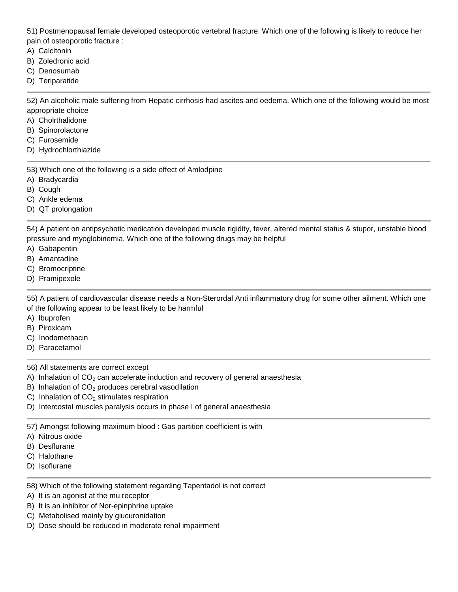51) Postmenopausal female developed osteoporotic vertebral fracture. Which one of the following is likely to reduce her pain of osteoporotic fracture :

- A) Calcitonin
- B) Zoledronic acid
- C) Denosumab
- D) Teriparatide

52) An alcoholic male suffering from Hepatic cirrhosis had ascites and oedema. Which one of the following would be most

appropriate choice A) Cholrthalidone

- B) Spinorolactone
- C) Furosemide
- D) Hydrochlorthiazide

53) Which one of the following is a side effect of Amlodpine

- A) Bradycardia
- B) Cough
- C) Ankle edema
- D) QT prolongation

54) A patient on antipsychotic medication developed muscle rigidity, fever, altered mental status & stupor, unstable blood pressure and myoglobinemia. Which one of the following drugs may be helpful

- A) Gabapentin
- B) Amantadine
- C) Bromocriptine
- D) Pramipexole

55) A patient of cardiovascular disease needs a Non-Sterordal Anti inflammatory drug for some other ailment. Which one of the following appear to be least likely to be harmful

- A) Ibuprofen
- B) Piroxicam
- C) Inodomethacin
- D) Paracetamol

56) All statements are correct except

- A) Inhalation of  $CO<sub>2</sub>$  can accelerate induction and recovery of general anaesthesia
- B) Inhalation of  $CO<sub>2</sub>$  produces cerebral vasodilation
- C) Inhalation of  $CO<sub>2</sub>$  stimulates respiration
- D) Intercostal muscles paralysis occurs in phase I of general anaesthesia

57) Amongst following maximum blood : Gas partition coefficient is with

- A) Nitrous oxide
- B) Desflurane
- C) Halothane
- D) Isoflurane

58) Which of the following statement regarding Tapentadol is not correct

- A) It is an agonist at the mu receptor
- B) It is an inhibitor of Nor-epinphrine uptake
- C) Metabolised mainly by glucuronidation
- D) Dose should be reduced in moderate renal impairment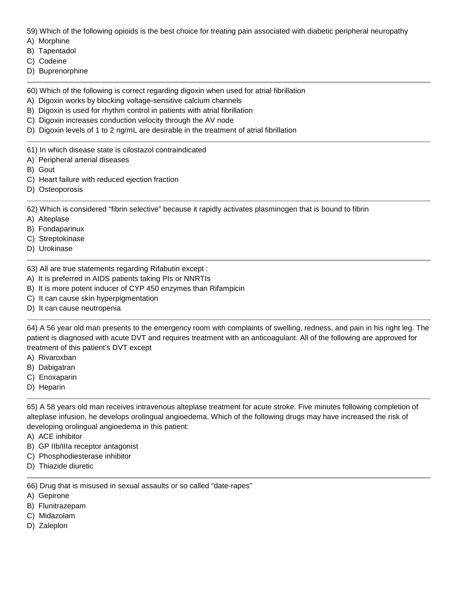59) Which of the following opioids is the best choice for treating pain associated with diabetic peripheral neuropathy

- A) Morphine
- B) Tapentadol
- C) Codeine
- D) Buprenorphine
- 60) Which of the following is correct regarding digoxin when used for atrial fibrillation
- A) Digoxin works by blocking voltage-sensitive calcium channels
- B) Digoxin is used for rhythm control in patients with atrial fibrillation
- C) Digoxin increases conduction velocity through the AV node
- D) Digoxin levels of 1 to 2 ng/mL are desirable in the treatment of atrial fibrillation

61) In which disease state is cilostazol contraindicated

- A) Peripheral arterial diseases
- B) Gout
- C) Heart failure with reduced ejection fraction
- D) Osteoporosis

62) Which is considered "fibrin selective" because it rapidly activates plasminogen that is bound to fibrin

- A) Alteplase
- B) Fondaparinux
- C) Streptokinase
- D) Urokinase

63) All are true statements regarding Rifabutin except :

- A) It is preferred in AIDS patients taking PIs or NNRTIs
- B) It is more potent inducer of CYP 450 enzymes than Rifampicin
- C) It can cause skin hyperpigmentation
- D) It can cause neutropenia

64) A 56 year old man presents to the emergency room with complaints of swelling, redness, and pain in his right leg. The patient is diagnosed with acute DVT and requires treatment with an anticoagulant. All of the following are approved for treatment of this patient's DVT except

- A) Rivaroxban
- B) Dabigatran
- C) Enoxaparin
- D) Heparin

65) A 58 years old man receives intravenous alteplase treatment for acute stroke. Five minutes following completion of alteplase infusion, he develops orolingual angioedema. Which of the following drugs may have increased the risk of developing orolingual angioedema in this patient:

- A) ACE inhibitor
- B) GP IIb/IIIa receptor antagonist
- C) Phosphodiesterase inhibitor
- D) Thiazide diuretic

66) Drug that is misused in sexual assaults or so called "date-rapes"

- A) Gepirone
- B) Flunitrazepam
- C) Midazolam
- D) Zaleplon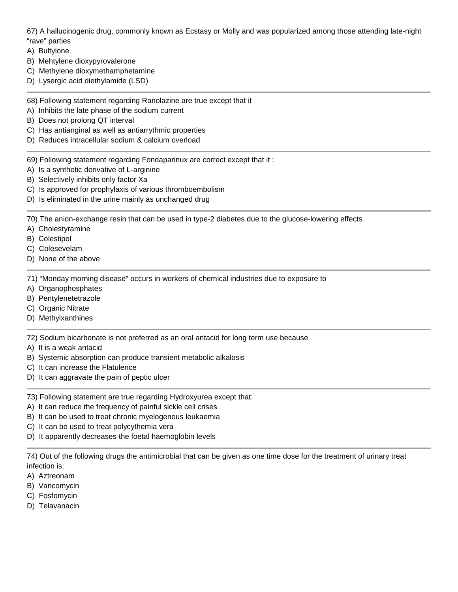67) A hallucinogenic drug, commonly known as Ecstasy or Molly and was popularized among those attending late-night "rave" parties

- A) Bultylone
- B) Mehtylene dioxypyrovalerone
- C) Methylene dioxymethamphetamine
- D) Lysergic acid diethylamide (LSD)
- 68) Following statement regarding Ranolazine are true except that it
- A) Inhibits the late phase of the sodium current
- B) Does not prolong QT interval
- C) Has antianginal as well as antiarrythmic properties
- D) Reduces intracellular sodium & calcium overload
- 69) Following statement regarding Fondaparinux are correct except that it :
- A) Is a synthetic derivative of L-arginine
- B) Selectively inhibits only factor Xa
- C) Is approved for prophylaxis of various thromboembolism
- D) Is eliminated in the urine mainly as unchanged drug

70) The anion-exchange resin that can be used in type-2 diabetes due to the glucose-lowering effects

- A) Cholestyramine
- B) Colestipol
- C) Colesevelam
- D) None of the above

71) "Monday morning disease" occurs in workers of chemical industries due to exposure to

- A) Organophosphates
- B) Pentylenetetrazole
- C) Organic Nitrate
- D) Methylxanthines

72) Sodium bicarbonate is not preferred as an oral antacid for long term use because

- A) It is a weak antacid
- B) Systemic absorption can produce transient metabolic alkalosis
- C) It can increase the Flatulence
- D) It can aggravate the pain of peptic ulcer

73) Following statement are true regarding Hydroxyurea except that:

- A) It can reduce the frequency of painful sickle cell crises
- B) It can be used to treat chronic myelogenous leukaemia
- C) It can be used to treat polycythemia vera
- D) It apparently decreases the foetal haemoglobin levels

74) Out of the following drugs the antimicrobial that can be given as one time dose for the treatment of urinary treat infection is:

- A) Aztreonam
- B) Vancomycin
- C) Fosfomycin
- D) Telavanacin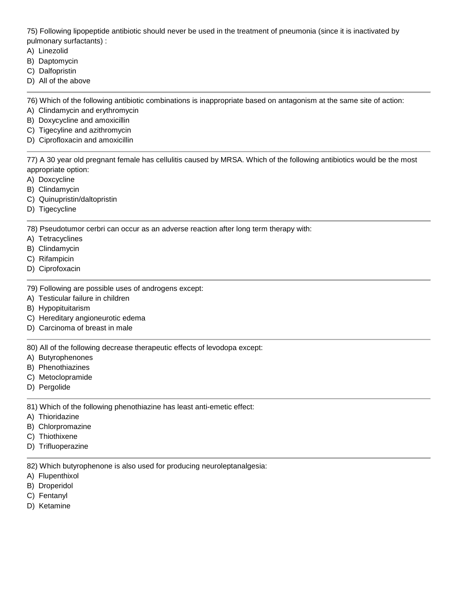75) Following lipopeptide antibiotic should never be used in the treatment of pneumonia (since it is inactivated by pulmonary surfactants) :

- A) Linezolid
- B) Daptomycin
- C) Dalfopristin
- D) All of the above

76) Which of the following antibiotic combinations is inappropriate based on antagonism at the same site of action:

- A) Clindamycin and erythromycin
- B) Doxycycline and amoxicillin
- C) Tigecyline and azithromycin
- D) Ciprofloxacin and amoxicillin

77) A 30 year old pregnant female has cellulitis caused by MRSA. Which of the following antibiotics would be the most appropriate option:

- A) Doxcycline
- B) Clindamycin
- C) Quinupristin/daltopristin
- D) Tigecycline

78) Pseudotumor cerbri can occur as an adverse reaction after long term therapy with:

- A) Tetracyclines
- B) Clindamycin
- C) Rifampicin
- D) Ciprofoxacin

79) Following are possible uses of androgens except:

- A) Testicular failure in children
- B) Hypopituitarism
- C) Hereditary angioneurotic edema
- D) Carcinoma of breast in male

80) All of the following decrease therapeutic effects of levodopa except:

- A) Butyrophenones
- B) Phenothiazines
- C) Metoclopramide
- D) Pergolide

81) Which of the following phenothiazine has least anti-emetic effect:

- A) Thioridazine
- B) Chlorpromazine
- C) Thiothixene
- D) Trifluoperazine

82) Which butyrophenone is also used for producing neuroleptanalgesia:

- A) Flupenthixol
- B) Droperidol
- C) Fentanyl
- D) Ketamine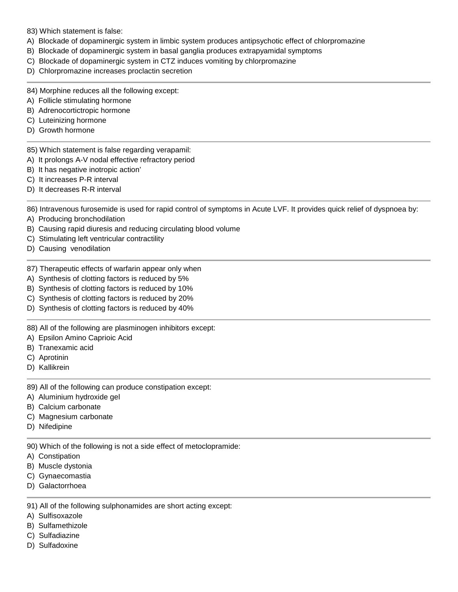83) Which statement is false:

- A) Blockade of dopaminergic system in limbic system produces antipsychotic effect of chlorpromazine
- B) Blockade of dopaminergic system in basal ganglia produces extrapyamidal symptoms
- C) Blockade of dopaminergic system in CTZ induces vomiting by chlorpromazine
- D) Chlorpromazine increases proclactin secretion

84) Morphine reduces all the following except:

- A) Follicle stimulating hormone
- B) Adrenocortictropic hormone
- C) Luteinizing hormone
- D) Growth hormone

85) Which statement is false regarding verapamil:

A) It prolongs A-V nodal effective refractory period

- B) It has negative inotropic action'
- C) It increases P-R interval
- D) It decreases R-R interval

86) Intravenous furosemide is used for rapid control of symptoms in Acute LVF. It provides quick relief of dyspnoea by:

- A) Producing bronchodilation
- B) Causing rapid diuresis and reducing circulating blood volume
- C) Stimulating left ventricular contractility
- D) Causing venodilation
- 87) Therapeutic effects of warfarin appear only when
- A) Synthesis of clotting factors is reduced by 5%
- B) Synthesis of clotting factors is reduced by 10%
- C) Synthesis of clotting factors is reduced by 20%
- D) Synthesis of clotting factors is reduced by 40%

88) All of the following are plasminogen inhibitors except:

- A) Epsilon Amino Caprioic Acid
- B) Tranexamic acid
- C) Aprotinin
- D) Kallikrein
- 89) All of the following can produce constipation except:
- A) Aluminium hydroxide gel
- B) Calcium carbonate
- C) Magnesium carbonate
- D) Nifedipine

90) Which of the following is not a side effect of metoclopramide:

- A) Constipation
- B) Muscle dystonia
- C) Gynaecomastia
- D) Galactorrhoea

91) All of the following sulphonamides are short acting except:

- A) Sulfisoxazole
- B) Sulfamethizole
- C) Sulfadiazine
- D) Sulfadoxine